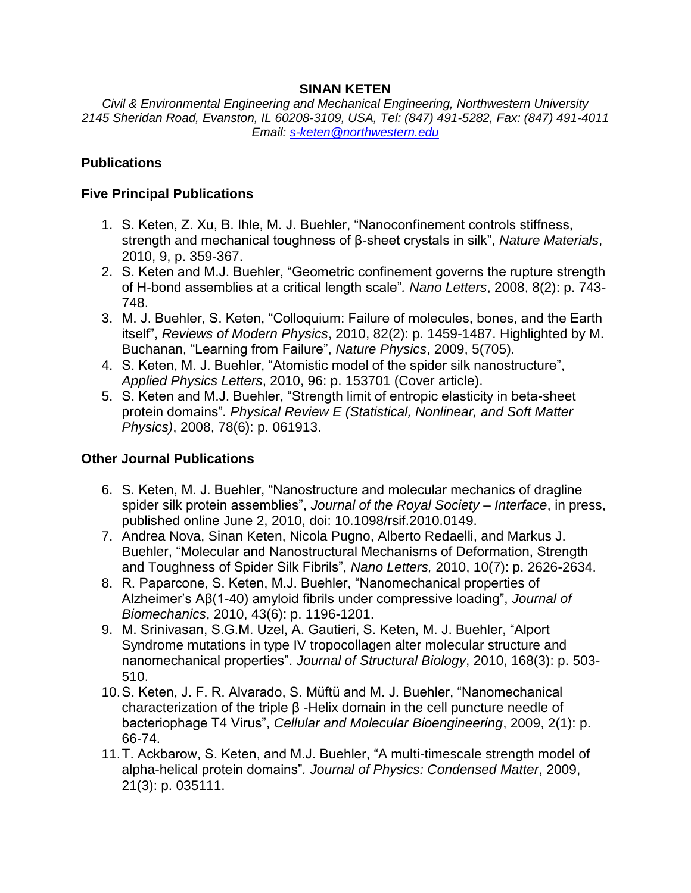### **SINAN KETEN**

*Civil & Environmental Engineering and Mechanical Engineering, Northwestern University 2145 Sheridan Road, Evanston, IL 60208-3109, USA, Tel: (847) 491-5282, Fax: (847) 491-4011 Email: [s-keten@northwestern.edu](mailto:s-keten@northwestern.edu)*

## **Publications**

### **Five Principal Publications**

- 1. S. Keten, Z. Xu, B. Ihle, M. J. Buehler, "Nanoconfinement controls stiffness, strength and mechanical toughness of β-sheet crystals in silk", *Nature Materials*, 2010, 9, p. 359-367.
- 2. S. Keten and M.J. Buehler, "Geometric confinement governs the rupture strength of H-bond assemblies at a critical length scale"*. Nano Letters*, 2008, 8(2): p. 743- 748.
- 3. M. J. Buehler, S. Keten, "Colloquium: Failure of molecules, bones, and the Earth itself", *Reviews of Modern Physics*, 2010, 82(2): p. 1459-1487. Highlighted by M. Buchanan, "Learning from Failure", *Nature Physics*, 2009, 5(705).
- 4. S. Keten, M. J. Buehler, "Atomistic model of the spider silk nanostructure", *Applied Physics Letters*, 2010, 96: p. 153701 (Cover article).
- 5. S. Keten and M.J. Buehler, "Strength limit of entropic elasticity in beta-sheet protein domains"*. Physical Review E (Statistical, Nonlinear, and Soft Matter Physics)*, 2008, 78(6): p. 061913.

#### **Other Journal Publications**

- 6. S. Keten, M. J. Buehler, "Nanostructure and molecular mechanics of dragline spider silk protein assemblies", *Journal of the Royal Society – Interface*, in press, published online June 2, 2010, doi: 10.1098/rsif.2010.0149.
- 7. Andrea Nova, Sinan Keten, Nicola Pugno, Alberto Redaelli, and Markus J. Buehler, "Molecular and Nanostructural Mechanisms of Deformation, Strength and Toughness of Spider Silk Fibrils", *Nano Letters,* 2010, 10(7): p. 2626-2634.
- 8. R. Paparcone, S. Keten, M.J. Buehler, "Nanomechanical properties of Alzheimer's Aβ(1-40) amyloid fibrils under compressive loading", *Journal of Biomechanics*, 2010, 43(6): p. 1196-1201.
- 9. M. Srinivasan, S.G.M. Uzel, A. Gautieri, S. Keten, M. J. Buehler, "Alport Syndrome mutations in type IV tropocollagen alter molecular structure and nanomechanical properties". *Journal of Structural Biology*, 2010, 168(3): p. 503- 510.
- 10.S. Keten, J. F. R. Alvarado, S. Müftü and M. J. Buehler, "Nanomechanical characterization of the triple β -Helix domain in the cell puncture needle of bacteriophage T4 Virus", *Cellular and Molecular Bioengineering*, 2009, 2(1): p. 66-74.
- 11.T. Ackbarow, S. Keten, and M.J. Buehler, "A multi-timescale strength model of alpha-helical protein domains"*. Journal of Physics: Condensed Matter*, 2009, 21(3): p. 035111.